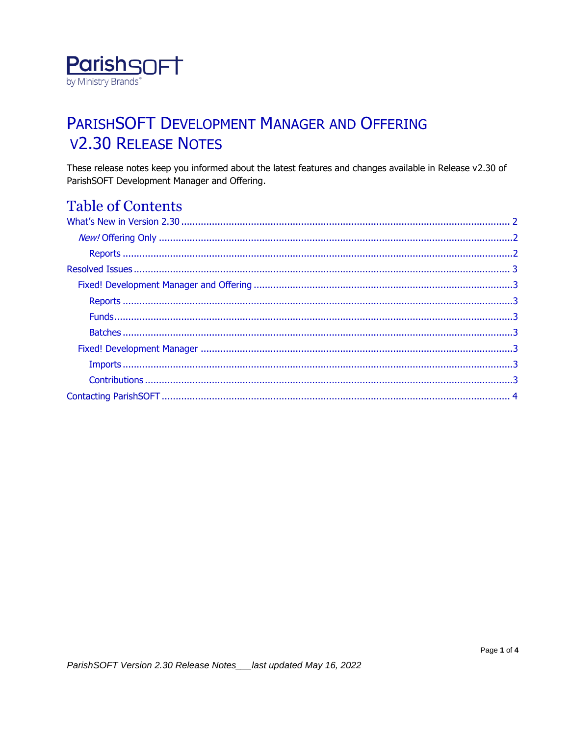

# PARISHSOFT DEVELOPMENT MANAGER AND OFFERING **V2.30 RELEASE NOTES**

These release notes keep you informed about the latest features and changes available in Release v2.30 of ParishSOFT Development Manager and Offering.

# **Table of Contents**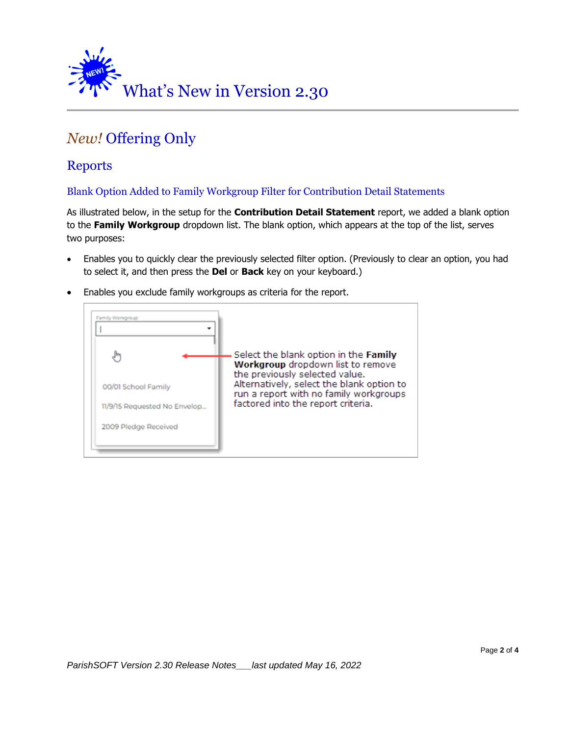<span id="page-1-0"></span>

# <span id="page-1-1"></span>*New!* Offering Only

### <span id="page-1-2"></span>Reports

#### Blank Option Added to Family Workgroup Filter for Contribution Detail Statements

As illustrated below, in the setup for the **Contribution Detail Statement** report, we added a blank option to the **Family Workgroup** dropdown list. The blank option, which appears at the top of the list, serves two purposes:

- Enables you to quickly clear the previously selected filter option. (Previously to clear an option, you had to select it, and then press the **Del** or **Back** key on your keyboard.)
	- Family Workgroup Select the blank option in the Family لهام Workgroup dropdown list to remove the previously selected value. Alternatively, select the blank option to 00/01 School Family run a report with no family workgroups factored into the report criteria. 11/9/15 Requested No Envelop... 2009 Pledge Received
- Enables you exclude family workgroups as criteria for the report.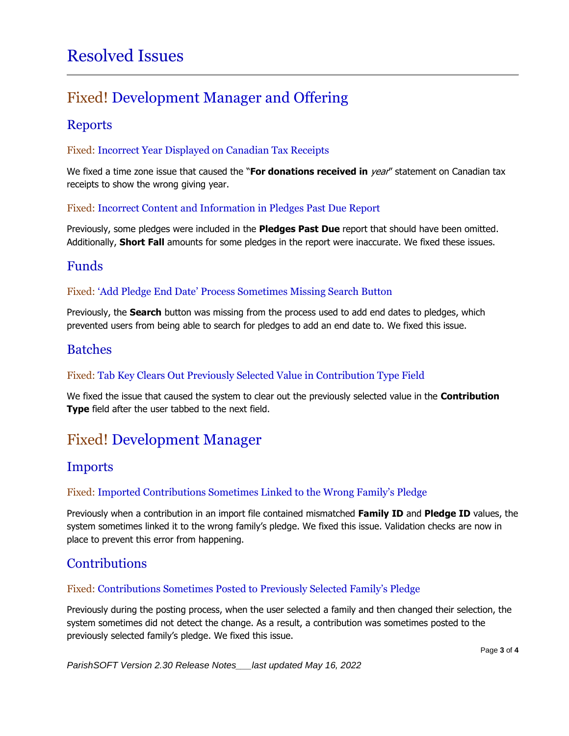# <span id="page-2-0"></span>Resolved Issues

# <span id="page-2-1"></span>Fixed! Development Manager and Offering

### <span id="page-2-2"></span>Reports

#### Fixed: Incorrect Year Displayed on Canadian Tax Receipts

We fixed a time zone issue that caused the "**For donations received in** year" statement on Canadian tax receipts to show the wrong giving year.

#### Fixed: Incorrect Content and Information in Pledges Past Due Report

Previously, some pledges were included in the **Pledges Past Due** report that should have been omitted. Additionally, **Short Fall** amounts for some pledges in the report were inaccurate. We fixed these issues.

### <span id="page-2-3"></span>Funds

#### Fixed: 'Add Pledge End Date' Process Sometimes Missing Search Button

Previously, the **Search** button was missing from the process used to add end dates to pledges, which prevented users from being able to search for pledges to add an end date to. We fixed this issue.

### <span id="page-2-4"></span>Batches

#### Fixed: Tab Key Clears Out Previously Selected Value in Contribution Type Field

We fixed the issue that caused the system to clear out the previously selected value in the **Contribution Type** field after the user tabbed to the next field.

# <span id="page-2-5"></span>Fixed! Development Manager

### <span id="page-2-6"></span>Imports

#### Fixed: Imported Contributions Sometimes Linked to the Wrong Family's Pledge

Previously when a contribution in an import file contained mismatched **Family ID** and **Pledge ID** values, the system sometimes linked it to the wrong family's pledge. We fixed this issue. Validation checks are now in place to prevent this error from happening.

### <span id="page-2-7"></span>**Contributions**

#### Fixed: Contributions Sometimes Posted to Previously Selected Family's Pledge

Previously during the posting process, when the user selected a family and then changed their selection, the system sometimes did not detect the change. As a result, a contribution was sometimes posted to the previously selected family's pledge. We fixed this issue.